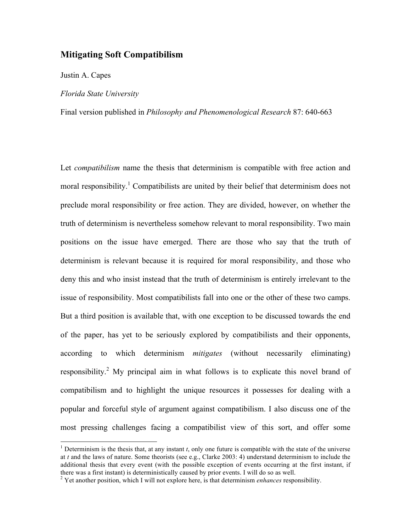# **Mitigating Soft Compatibilism**

Justin A. Capes

# *Florida State University*

Final version published in *Philosophy and Phenomenological Research* 87: 640-663

Let *compatibilism* name the thesis that determinism is compatible with free action and moral responsibility.<sup>1</sup> Compatibilists are united by their belief that determinism does not preclude moral responsibility or free action. They are divided, however, on whether the truth of determinism is nevertheless somehow relevant to moral responsibility. Two main positions on the issue have emerged. There are those who say that the truth of determinism is relevant because it is required for moral responsibility, and those who deny this and who insist instead that the truth of determinism is entirely irrelevant to the issue of responsibility. Most compatibilists fall into one or the other of these two camps. But a third position is available that, with one exception to be discussed towards the end of the paper, has yet to be seriously explored by compatibilists and their opponents, according to which determinism *mitigates* (without necessarily eliminating) responsibility.<sup>2</sup> My principal aim in what follows is to explicate this novel brand of compatibilism and to highlight the unique resources it possesses for dealing with a popular and forceful style of argument against compatibilism. I also discuss one of the most pressing challenges facing a compatibilist view of this sort, and offer some

<sup>&</sup>lt;sup>1</sup> Determinism is the thesis that, at any instant  $t$ , only one future is compatible with the state of the universe at *t* and the laws of nature. Some theorists (see e.g., Clarke 2003: 4) understand determinism to include the additional thesis that every event (with the possible exception of events occurring at the first instant, if there was a first instant) is deterministically caused by prior events. I will do so as well.

<sup>2</sup> Yet another position, which I will not explore here, is that determinism *enhances* responsibility.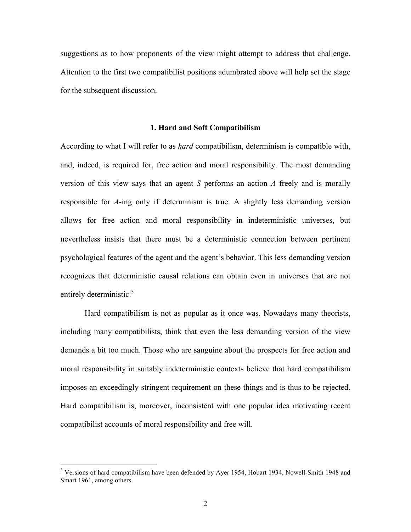suggestions as to how proponents of the view might attempt to address that challenge. Attention to the first two compatibilist positions adumbrated above will help set the stage for the subsequent discussion.

### **1. Hard and Soft Compatibilism**

According to what I will refer to as *hard* compatibilism, determinism is compatible with, and, indeed, is required for, free action and moral responsibility. The most demanding version of this view says that an agent *S* performs an action *A* freely and is morally responsible for *A*-ing only if determinism is true. A slightly less demanding version allows for free action and moral responsibility in indeterministic universes, but nevertheless insists that there must be a deterministic connection between pertinent psychological features of the agent and the agent's behavior. This less demanding version recognizes that deterministic causal relations can obtain even in universes that are not entirely deterministic.<sup>3</sup>

Hard compatibilism is not as popular as it once was. Nowadays many theorists, including many compatibilists, think that even the less demanding version of the view demands a bit too much. Those who are sanguine about the prospects for free action and moral responsibility in suitably indeterministic contexts believe that hard compatibilism imposes an exceedingly stringent requirement on these things and is thus to be rejected. Hard compatibilism is, moreover, inconsistent with one popular idea motivating recent compatibilist accounts of moral responsibility and free will.

<sup>&</sup>lt;sup>3</sup> Versions of hard compatibilism have been defended by Ayer 1954, Hobart 1934, Nowell-Smith 1948 and Smart 1961, among others.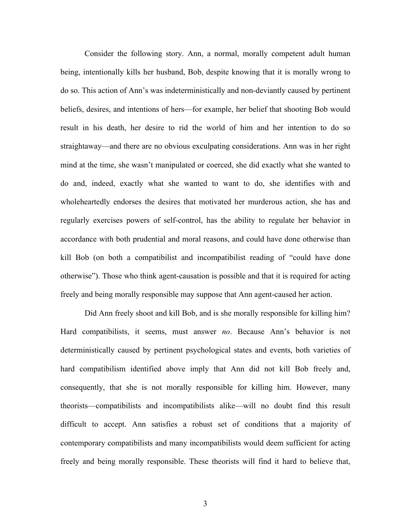Consider the following story. Ann, a normal, morally competent adult human being, intentionally kills her husband, Bob, despite knowing that it is morally wrong to do so. This action of Ann's was indeterministically and non-deviantly caused by pertinent beliefs, desires, and intentions of hers—for example, her belief that shooting Bob would result in his death, her desire to rid the world of him and her intention to do so straightaway—and there are no obvious exculpating considerations. Ann was in her right mind at the time, she wasn't manipulated or coerced, she did exactly what she wanted to do and, indeed, exactly what she wanted to want to do, she identifies with and wholeheartedly endorses the desires that motivated her murderous action, she has and regularly exercises powers of self-control, has the ability to regulate her behavior in accordance with both prudential and moral reasons, and could have done otherwise than kill Bob (on both a compatibilist and incompatibilist reading of "could have done otherwise"). Those who think agent-causation is possible and that it is required for acting freely and being morally responsible may suppose that Ann agent-caused her action.

Did Ann freely shoot and kill Bob, and is she morally responsible for killing him? Hard compatibilists, it seems, must answer *no*. Because Ann's behavior is not deterministically caused by pertinent psychological states and events, both varieties of hard compatibilism identified above imply that Ann did not kill Bob freely and, consequently, that she is not morally responsible for killing him. However, many theorists—compatibilists and incompatibilists alike—will no doubt find this result difficult to accept. Ann satisfies a robust set of conditions that a majority of contemporary compatibilists and many incompatibilists would deem sufficient for acting freely and being morally responsible. These theorists will find it hard to believe that,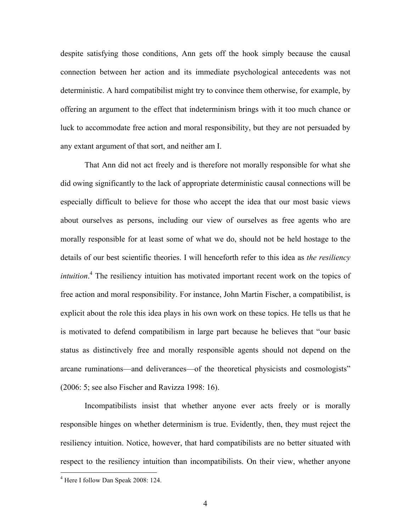despite satisfying those conditions, Ann gets off the hook simply because the causal connection between her action and its immediate psychological antecedents was not deterministic. A hard compatibilist might try to convince them otherwise, for example, by offering an argument to the effect that indeterminism brings with it too much chance or luck to accommodate free action and moral responsibility, but they are not persuaded by any extant argument of that sort, and neither am I.

That Ann did not act freely and is therefore not morally responsible for what she did owing significantly to the lack of appropriate deterministic causal connections will be especially difficult to believe for those who accept the idea that our most basic views about ourselves as persons, including our view of ourselves as free agents who are morally responsible for at least some of what we do, should not be held hostage to the details of our best scientific theories. I will henceforth refer to this idea as *the resiliency intuition*.<sup>4</sup> The resiliency intuition has motivated important recent work on the topics of free action and moral responsibility. For instance, John Martin Fischer, a compatibilist, is explicit about the role this idea plays in his own work on these topics. He tells us that he is motivated to defend compatibilism in large part because he believes that "our basic status as distinctively free and morally responsible agents should not depend on the arcane ruminations—and deliverances—of the theoretical physicists and cosmologists" (2006: 5; see also Fischer and Ravizza 1998: 16).

Incompatibilists insist that whether anyone ever acts freely or is morally responsible hinges on whether determinism is true. Evidently, then, they must reject the resiliency intuition. Notice, however, that hard compatibilists are no better situated with respect to the resiliency intuition than incompatibilists. On their view, whether anyone

 <sup>4</sup> Here I follow Dan Speak 2008: 124.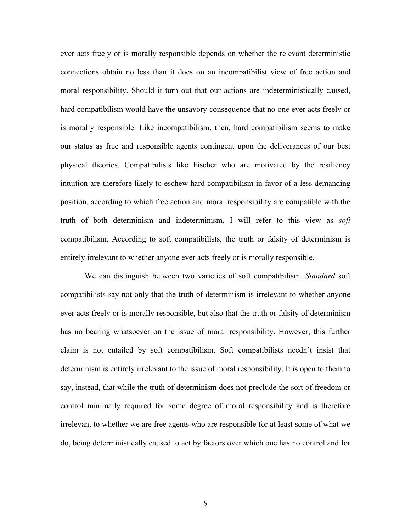ever acts freely or is morally responsible depends on whether the relevant deterministic connections obtain no less than it does on an incompatibilist view of free action and moral responsibility. Should it turn out that our actions are indeterministically caused, hard compatibilism would have the unsavory consequence that no one ever acts freely or is morally responsible. Like incompatibilism, then, hard compatibilism seems to make our status as free and responsible agents contingent upon the deliverances of our best physical theories. Compatibilists like Fischer who are motivated by the resiliency intuition are therefore likely to eschew hard compatibilism in favor of a less demanding position, according to which free action and moral responsibility are compatible with the truth of both determinism and indeterminism. I will refer to this view as *soft*  compatibilism. According to soft compatibilists, the truth or falsity of determinism is entirely irrelevant to whether anyone ever acts freely or is morally responsible.

We can distinguish between two varieties of soft compatibilism. *Standard* soft compatibilists say not only that the truth of determinism is irrelevant to whether anyone ever acts freely or is morally responsible, but also that the truth or falsity of determinism has no bearing whatsoever on the issue of moral responsibility. However, this further claim is not entailed by soft compatibilism. Soft compatibilists needn't insist that determinism is entirely irrelevant to the issue of moral responsibility. It is open to them to say, instead, that while the truth of determinism does not preclude the sort of freedom or control minimally required for some degree of moral responsibility and is therefore irrelevant to whether we are free agents who are responsible for at least some of what we do, being deterministically caused to act by factors over which one has no control and for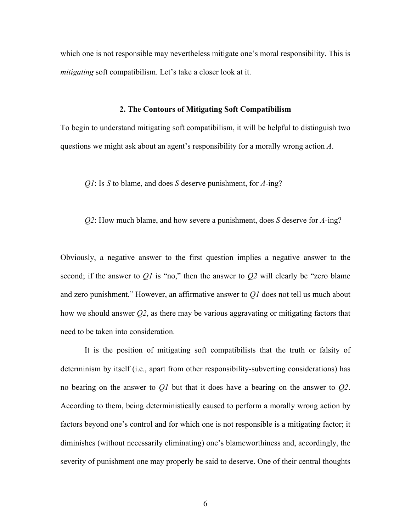which one is not responsible may nevertheless mitigate one's moral responsibility. This is *mitigating* soft compatibilism. Let's take a closer look at it.

# **2. The Contours of Mitigating Soft Compatibilism**

To begin to understand mitigating soft compatibilism, it will be helpful to distinguish two questions we might ask about an agent's responsibility for a morally wrong action *A*.

*Q1*: Is *S* to blame, and does *S* deserve punishment, for *A*-ing?

*Q2*: How much blame, and how severe a punishment, does *S* deserve for *A*-ing?

Obviously, a negative answer to the first question implies a negative answer to the second; if the answer to *Q1* is "no," then the answer to *Q2* will clearly be "zero blame and zero punishment." However, an affirmative answer to *Q1* does not tell us much about how we should answer *Q2*, as there may be various aggravating or mitigating factors that need to be taken into consideration.

It is the position of mitigating soft compatibilists that the truth or falsity of determinism by itself (i.e., apart from other responsibility-subverting considerations) has no bearing on the answer to *Q1* but that it does have a bearing on the answer to *Q2*. According to them, being deterministically caused to perform a morally wrong action by factors beyond one's control and for which one is not responsible is a mitigating factor; it diminishes (without necessarily eliminating) one's blameworthiness and, accordingly, the severity of punishment one may properly be said to deserve. One of their central thoughts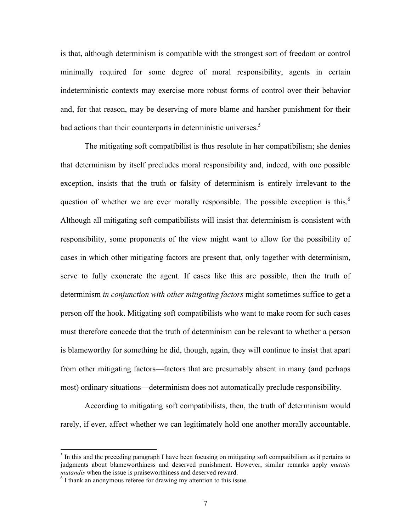is that, although determinism is compatible with the strongest sort of freedom or control minimally required for some degree of moral responsibility, agents in certain indeterministic contexts may exercise more robust forms of control over their behavior and, for that reason, may be deserving of more blame and harsher punishment for their bad actions than their counterparts in deterministic universes.<sup>5</sup>

The mitigating soft compatibilist is thus resolute in her compatibilism; she denies that determinism by itself precludes moral responsibility and, indeed, with one possible exception, insists that the truth or falsity of determinism is entirely irrelevant to the question of whether we are ever morally responsible. The possible exception is this.<sup>6</sup> Although all mitigating soft compatibilists will insist that determinism is consistent with responsibility, some proponents of the view might want to allow for the possibility of cases in which other mitigating factors are present that, only together with determinism, serve to fully exonerate the agent. If cases like this are possible, then the truth of determinism *in conjunction with other mitigating factors* might sometimes suffice to get a person off the hook. Mitigating soft compatibilists who want to make room for such cases must therefore concede that the truth of determinism can be relevant to whether a person is blameworthy for something he did, though, again, they will continue to insist that apart from other mitigating factors—factors that are presumably absent in many (and perhaps most) ordinary situations—determinism does not automatically preclude responsibility.

According to mitigating soft compatibilists, then, the truth of determinism would rarely, if ever, affect whether we can legitimately hold one another morally accountable.

 $<sup>5</sup>$  In this and the preceding paragraph I have been focusing on mitigating soft compatibilism as it pertains to</sup> judgments about blameworthiness and deserved punishment. However, similar remarks apply *mutatis mutandis* when the issue is praiseworthiness and deserved reward.<br><sup>6</sup> I thank an anonymous referee for drawing my attention to this issue.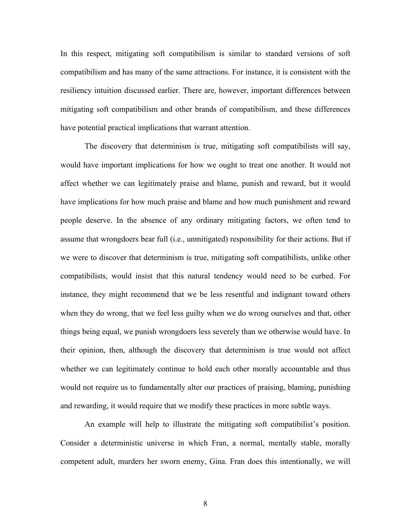In this respect, mitigating soft compatibilism is similar to standard versions of soft compatibilism and has many of the same attractions. For instance, it is consistent with the resiliency intuition discussed earlier. There are, however, important differences between mitigating soft compatibilism and other brands of compatibilism, and these differences have potential practical implications that warrant attention.

The discovery that determinism is true, mitigating soft compatibilists will say, would have important implications for how we ought to treat one another. It would not affect whether we can legitimately praise and blame, punish and reward, but it would have implications for how much praise and blame and how much punishment and reward people deserve. In the absence of any ordinary mitigating factors, we often tend to assume that wrongdoers bear full (i.e., unmitigated) responsibility for their actions. But if we were to discover that determinism is true, mitigating soft compatibilists, unlike other compatibilists, would insist that this natural tendency would need to be curbed. For instance, they might recommend that we be less resentful and indignant toward others when they do wrong, that we feel less guilty when we do wrong ourselves and that, other things being equal, we punish wrongdoers less severely than we otherwise would have. In their opinion, then, although the discovery that determinism is true would not affect whether we can legitimately continue to hold each other morally accountable and thus would not require us to fundamentally alter our practices of praising, blaming, punishing and rewarding, it would require that we modify these practices in more subtle ways.

An example will help to illustrate the mitigating soft compatibilist's position. Consider a deterministic universe in which Fran, a normal, mentally stable, morally competent adult, murders her sworn enemy, Gina. Fran does this intentionally, we will

8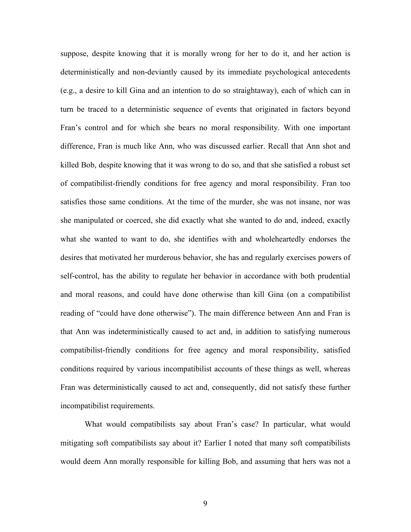suppose, despite knowing that it is morally wrong for her to do it, and her action is deterministically and non-deviantly caused by its immediate psychological antecedents (e.g., a desire to kill Gina and an intention to do so straightaway), each of which can in turn be traced to a deterministic sequence of events that originated in factors beyond Fran's control and for which she bears no moral responsibility. With one important difference, Fran is much like Ann, who was discussed earlier. Recall that Ann shot and killed Bob, despite knowing that it was wrong to do so, and that she satisfied a robust set of compatibilist-friendly conditions for free agency and moral responsibility. Fran too satisfies those same conditions. At the time of the murder, she was not insane, nor was she manipulated or coerced, she did exactly what she wanted to do and, indeed, exactly what she wanted to want to do, she identifies with and wholeheartedly endorses the desires that motivated her murderous behavior, she has and regularly exercises powers of self-control, has the ability to regulate her behavior in accordance with both prudential and moral reasons, and could have done otherwise than kill Gina (on a compatibilist reading of "could have done otherwise"). The main difference between Ann and Fran is that Ann was indeterministically caused to act and, in addition to satisfying numerous compatibilist-friendly conditions for free agency and moral responsibility, satisfied conditions required by various incompatibilist accounts of these things as well, whereas Fran was deterministically caused to act and, consequently, did not satisfy these further incompatibilist requirements.

What would compatibilists say about Fran's case? In particular, what would mitigating soft compatibilists say about it? Earlier I noted that many soft compatibilists would deem Ann morally responsible for killing Bob, and assuming that hers was not a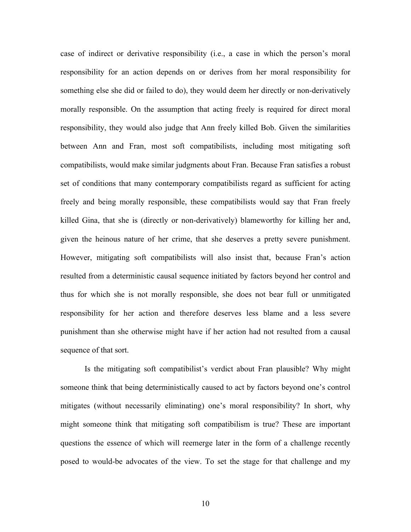case of indirect or derivative responsibility (i.e., a case in which the person's moral responsibility for an action depends on or derives from her moral responsibility for something else she did or failed to do), they would deem her directly or non-derivatively morally responsible. On the assumption that acting freely is required for direct moral responsibility, they would also judge that Ann freely killed Bob. Given the similarities between Ann and Fran, most soft compatibilists, including most mitigating soft compatibilists, would make similar judgments about Fran. Because Fran satisfies a robust set of conditions that many contemporary compatibilists regard as sufficient for acting freely and being morally responsible, these compatibilists would say that Fran freely killed Gina, that she is (directly or non-derivatively) blameworthy for killing her and, given the heinous nature of her crime, that she deserves a pretty severe punishment. However, mitigating soft compatibilists will also insist that, because Fran's action resulted from a deterministic causal sequence initiated by factors beyond her control and thus for which she is not morally responsible, she does not bear full or unmitigated responsibility for her action and therefore deserves less blame and a less severe punishment than she otherwise might have if her action had not resulted from a causal sequence of that sort.

Is the mitigating soft compatibilist's verdict about Fran plausible? Why might someone think that being deterministically caused to act by factors beyond one's control mitigates (without necessarily eliminating) one's moral responsibility? In short, why might someone think that mitigating soft compatibilism is true? These are important questions the essence of which will reemerge later in the form of a challenge recently posed to would-be advocates of the view. To set the stage for that challenge and my

10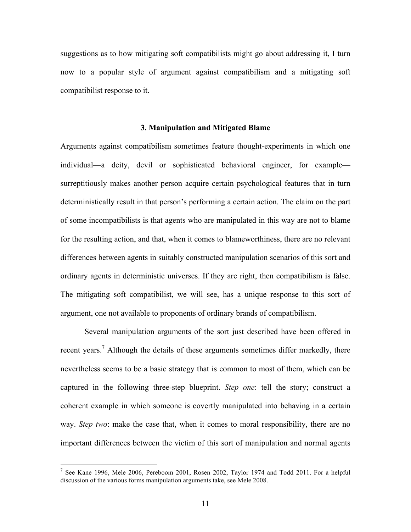suggestions as to how mitigating soft compatibilists might go about addressing it, I turn now to a popular style of argument against compatibilism and a mitigating soft compatibilist response to it.

### **3. Manipulation and Mitigated Blame**

Arguments against compatibilism sometimes feature thought-experiments in which one individual—a deity, devil or sophisticated behavioral engineer, for example surreptitiously makes another person acquire certain psychological features that in turn deterministically result in that person's performing a certain action. The claim on the part of some incompatibilists is that agents who are manipulated in this way are not to blame for the resulting action, and that, when it comes to blameworthiness, there are no relevant differences between agents in suitably constructed manipulation scenarios of this sort and ordinary agents in deterministic universes. If they are right, then compatibilism is false. The mitigating soft compatibilist, we will see, has a unique response to this sort of argument, one not available to proponents of ordinary brands of compatibilism.

Several manipulation arguments of the sort just described have been offered in recent years.<sup>7</sup> Although the details of these arguments sometimes differ markedly, there nevertheless seems to be a basic strategy that is common to most of them, which can be captured in the following three-step blueprint. *Step one*: tell the story; construct a coherent example in which someone is covertly manipulated into behaving in a certain way. *Step two*: make the case that, when it comes to moral responsibility, there are no important differences between the victim of this sort of manipulation and normal agents

 <sup>7</sup> See Kane 1996, Mele 2006, Pereboom 2001, Rosen 2002, Taylor 1974 and Todd 2011. For a helpful discussion of the various forms manipulation arguments take, see Mele 2008.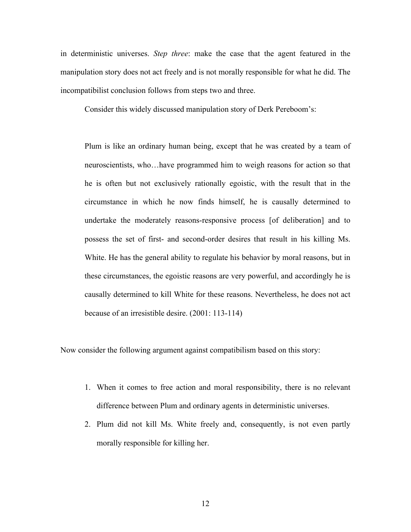in deterministic universes. *Step three*: make the case that the agent featured in the manipulation story does not act freely and is not morally responsible for what he did. The incompatibilist conclusion follows from steps two and three.

Consider this widely discussed manipulation story of Derk Pereboom's:

Plum is like an ordinary human being, except that he was created by a team of neuroscientists, who…have programmed him to weigh reasons for action so that he is often but not exclusively rationally egoistic, with the result that in the circumstance in which he now finds himself, he is causally determined to undertake the moderately reasons-responsive process [of deliberation] and to possess the set of first- and second-order desires that result in his killing Ms. White. He has the general ability to regulate his behavior by moral reasons, but in these circumstances, the egoistic reasons are very powerful, and accordingly he is causally determined to kill White for these reasons. Nevertheless, he does not act because of an irresistible desire. (2001: 113-114)

Now consider the following argument against compatibilism based on this story:

- 1. When it comes to free action and moral responsibility, there is no relevant difference between Plum and ordinary agents in deterministic universes.
- 2. Plum did not kill Ms. White freely and, consequently, is not even partly morally responsible for killing her.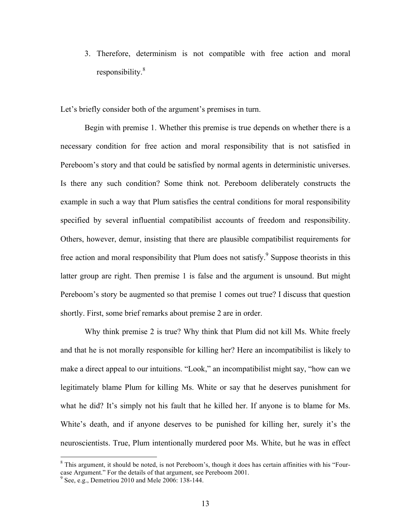3. Therefore, determinism is not compatible with free action and moral responsibility.<sup>8</sup>

Let's briefly consider both of the argument's premises in turn.

Begin with premise 1. Whether this premise is true depends on whether there is a necessary condition for free action and moral responsibility that is not satisfied in Pereboom's story and that could be satisfied by normal agents in deterministic universes. Is there any such condition? Some think not. Pereboom deliberately constructs the example in such a way that Plum satisfies the central conditions for moral responsibility specified by several influential compatibilist accounts of freedom and responsibility. Others, however, demur, insisting that there are plausible compatibilist requirements for free action and moral responsibility that Plum does not satisfy.<sup>9</sup> Suppose theorists in this latter group are right. Then premise 1 is false and the argument is unsound. But might Pereboom's story be augmented so that premise 1 comes out true? I discuss that question shortly. First, some brief remarks about premise 2 are in order.

Why think premise 2 is true? Why think that Plum did not kill Ms. White freely and that he is not morally responsible for killing her? Here an incompatibilist is likely to make a direct appeal to our intuitions. "Look," an incompatibilist might say, "how can we legitimately blame Plum for killing Ms. White or say that he deserves punishment for what he did? It's simply not his fault that he killed her. If anyone is to blame for Ms. White's death, and if anyone deserves to be punished for killing her, surely it's the neuroscientists. True, Plum intentionally murdered poor Ms. White, but he was in effect

<sup>&</sup>lt;sup>8</sup> This argument, it should be noted, is not Pereboom's, though it does has certain affinities with his "Fourcase Argument." For the details of that argument, see Pereboom 2001. <sup>9</sup> See, e.g., Demetriou 2010 and Mele 2006: 138-144.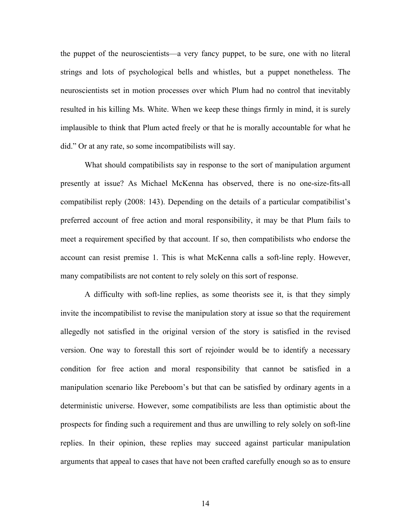the puppet of the neuroscientists—a very fancy puppet, to be sure, one with no literal strings and lots of psychological bells and whistles, but a puppet nonetheless. The neuroscientists set in motion processes over which Plum had no control that inevitably resulted in his killing Ms. White. When we keep these things firmly in mind, it is surely implausible to think that Plum acted freely or that he is morally accountable for what he did." Or at any rate, so some incompatibilists will say.

What should compatibilists say in response to the sort of manipulation argument presently at issue? As Michael McKenna has observed, there is no one-size-fits-all compatibilist reply (2008: 143). Depending on the details of a particular compatibilist's preferred account of free action and moral responsibility, it may be that Plum fails to meet a requirement specified by that account. If so, then compatibilists who endorse the account can resist premise 1. This is what McKenna calls a soft-line reply. However, many compatibilists are not content to rely solely on this sort of response.

A difficulty with soft-line replies, as some theorists see it, is that they simply invite the incompatibilist to revise the manipulation story at issue so that the requirement allegedly not satisfied in the original version of the story is satisfied in the revised version. One way to forestall this sort of rejoinder would be to identify a necessary condition for free action and moral responsibility that cannot be satisfied in a manipulation scenario like Pereboom's but that can be satisfied by ordinary agents in a deterministic universe. However, some compatibilists are less than optimistic about the prospects for finding such a requirement and thus are unwilling to rely solely on soft-line replies. In their opinion, these replies may succeed against particular manipulation arguments that appeal to cases that have not been crafted carefully enough so as to ensure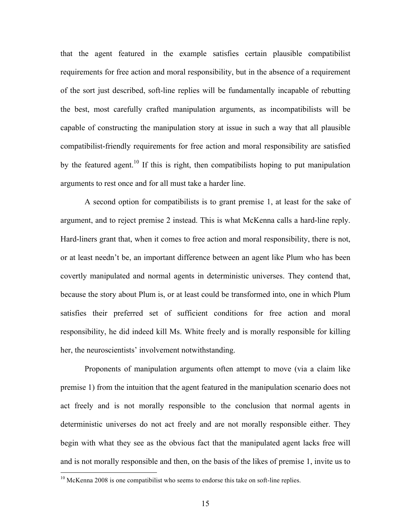that the agent featured in the example satisfies certain plausible compatibilist requirements for free action and moral responsibility, but in the absence of a requirement of the sort just described, soft-line replies will be fundamentally incapable of rebutting the best, most carefully crafted manipulation arguments, as incompatibilists will be capable of constructing the manipulation story at issue in such a way that all plausible compatibilist-friendly requirements for free action and moral responsibility are satisfied by the featured agent.<sup>10</sup> If this is right, then compatibilists hoping to put manipulation arguments to rest once and for all must take a harder line.

A second option for compatibilists is to grant premise 1, at least for the sake of argument, and to reject premise 2 instead. This is what McKenna calls a hard-line reply. Hard-liners grant that, when it comes to free action and moral responsibility, there is not, or at least needn't be, an important difference between an agent like Plum who has been covertly manipulated and normal agents in deterministic universes. They contend that, because the story about Plum is, or at least could be transformed into, one in which Plum satisfies their preferred set of sufficient conditions for free action and moral responsibility, he did indeed kill Ms. White freely and is morally responsible for killing her, the neuroscientists' involvement notwithstanding.

Proponents of manipulation arguments often attempt to move (via a claim like premise 1) from the intuition that the agent featured in the manipulation scenario does not act freely and is not morally responsible to the conclusion that normal agents in deterministic universes do not act freely and are not morally responsible either. They begin with what they see as the obvious fact that the manipulated agent lacks free will and is not morally responsible and then, on the basis of the likes of premise 1, invite us to

 $10$  McKenna 2008 is one compatibilist who seems to endorse this take on soft-line replies.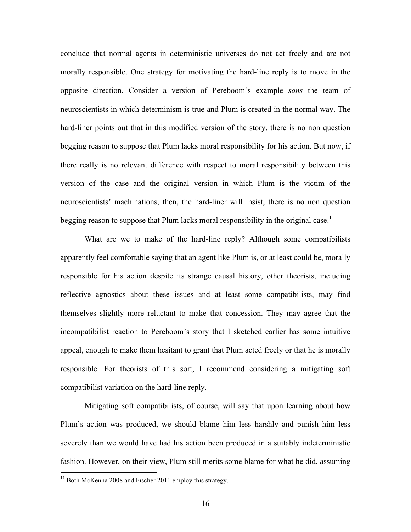conclude that normal agents in deterministic universes do not act freely and are not morally responsible. One strategy for motivating the hard-line reply is to move in the opposite direction. Consider a version of Pereboom's example *sans* the team of neuroscientists in which determinism is true and Plum is created in the normal way. The hard-liner points out that in this modified version of the story, there is no non question begging reason to suppose that Plum lacks moral responsibility for his action. But now, if there really is no relevant difference with respect to moral responsibility between this version of the case and the original version in which Plum is the victim of the neuroscientists' machinations, then, the hard-liner will insist, there is no non question begging reason to suppose that Plum lacks moral responsibility in the original case.<sup>11</sup>

What are we to make of the hard-line reply? Although some compatibilists apparently feel comfortable saying that an agent like Plum is, or at least could be, morally responsible for his action despite its strange causal history, other theorists, including reflective agnostics about these issues and at least some compatibilists, may find themselves slightly more reluctant to make that concession. They may agree that the incompatibilist reaction to Pereboom's story that I sketched earlier has some intuitive appeal, enough to make them hesitant to grant that Plum acted freely or that he is morally responsible. For theorists of this sort, I recommend considering a mitigating soft compatibilist variation on the hard-line reply.

Mitigating soft compatibilists, of course, will say that upon learning about how Plum's action was produced, we should blame him less harshly and punish him less severely than we would have had his action been produced in a suitably indeterministic fashion. However, on their view, Plum still merits some blame for what he did, assuming

<sup>&</sup>lt;sup>11</sup> Both McKenna 2008 and Fischer 2011 employ this strategy.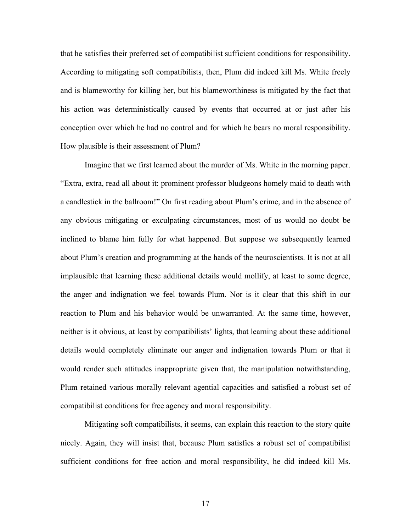that he satisfies their preferred set of compatibilist sufficient conditions for responsibility. According to mitigating soft compatibilists, then, Plum did indeed kill Ms. White freely and is blameworthy for killing her, but his blameworthiness is mitigated by the fact that his action was deterministically caused by events that occurred at or just after his conception over which he had no control and for which he bears no moral responsibility. How plausible is their assessment of Plum?

Imagine that we first learned about the murder of Ms. White in the morning paper. "Extra, extra, read all about it: prominent professor bludgeons homely maid to death with a candlestick in the ballroom!" On first reading about Plum's crime, and in the absence of any obvious mitigating or exculpating circumstances, most of us would no doubt be inclined to blame him fully for what happened. But suppose we subsequently learned about Plum's creation and programming at the hands of the neuroscientists. It is not at all implausible that learning these additional details would mollify, at least to some degree, the anger and indignation we feel towards Plum. Nor is it clear that this shift in our reaction to Plum and his behavior would be unwarranted. At the same time, however, neither is it obvious, at least by compatibilists' lights, that learning about these additional details would completely eliminate our anger and indignation towards Plum or that it would render such attitudes inappropriate given that, the manipulation notwithstanding, Plum retained various morally relevant agential capacities and satisfied a robust set of compatibilist conditions for free agency and moral responsibility.

Mitigating soft compatibilists, it seems, can explain this reaction to the story quite nicely. Again, they will insist that, because Plum satisfies a robust set of compatibilist sufficient conditions for free action and moral responsibility, he did indeed kill Ms.

17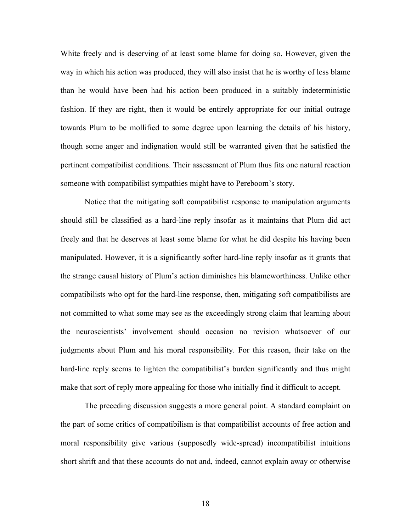White freely and is deserving of at least some blame for doing so. However, given the way in which his action was produced, they will also insist that he is worthy of less blame than he would have been had his action been produced in a suitably indeterministic fashion. If they are right, then it would be entirely appropriate for our initial outrage towards Plum to be mollified to some degree upon learning the details of his history, though some anger and indignation would still be warranted given that he satisfied the pertinent compatibilist conditions. Their assessment of Plum thus fits one natural reaction someone with compatibilist sympathies might have to Pereboom's story.

Notice that the mitigating soft compatibilist response to manipulation arguments should still be classified as a hard-line reply insofar as it maintains that Plum did act freely and that he deserves at least some blame for what he did despite his having been manipulated. However, it is a significantly softer hard-line reply insofar as it grants that the strange causal history of Plum's action diminishes his blameworthiness. Unlike other compatibilists who opt for the hard-line response, then, mitigating soft compatibilists are not committed to what some may see as the exceedingly strong claim that learning about the neuroscientists' involvement should occasion no revision whatsoever of our judgments about Plum and his moral responsibility. For this reason, their take on the hard-line reply seems to lighten the compatibilist's burden significantly and thus might make that sort of reply more appealing for those who initially find it difficult to accept.

The preceding discussion suggests a more general point. A standard complaint on the part of some critics of compatibilism is that compatibilist accounts of free action and moral responsibility give various (supposedly wide-spread) incompatibilist intuitions short shrift and that these accounts do not and, indeed, cannot explain away or otherwise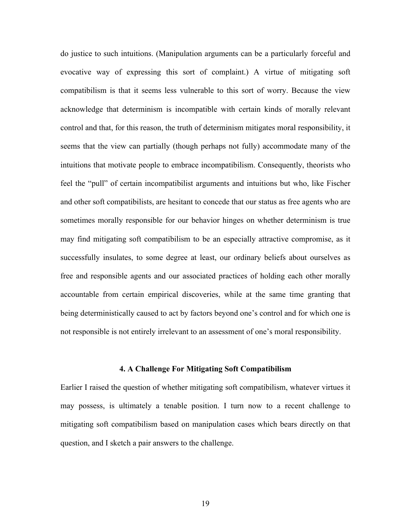do justice to such intuitions. (Manipulation arguments can be a particularly forceful and evocative way of expressing this sort of complaint.) A virtue of mitigating soft compatibilism is that it seems less vulnerable to this sort of worry. Because the view acknowledge that determinism is incompatible with certain kinds of morally relevant control and that, for this reason, the truth of determinism mitigates moral responsibility, it seems that the view can partially (though perhaps not fully) accommodate many of the intuitions that motivate people to embrace incompatibilism. Consequently, theorists who feel the "pull" of certain incompatibilist arguments and intuitions but who, like Fischer and other soft compatibilists, are hesitant to concede that our status as free agents who are sometimes morally responsible for our behavior hinges on whether determinism is true may find mitigating soft compatibilism to be an especially attractive compromise, as it successfully insulates, to some degree at least, our ordinary beliefs about ourselves as free and responsible agents and our associated practices of holding each other morally accountable from certain empirical discoveries, while at the same time granting that being deterministically caused to act by factors beyond one's control and for which one is not responsible is not entirely irrelevant to an assessment of one's moral responsibility.

#### **4. A Challenge For Mitigating Soft Compatibilism**

Earlier I raised the question of whether mitigating soft compatibilism, whatever virtues it may possess, is ultimately a tenable position. I turn now to a recent challenge to mitigating soft compatibilism based on manipulation cases which bears directly on that question, and I sketch a pair answers to the challenge.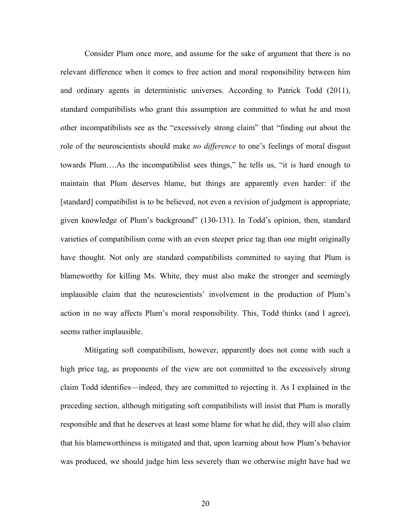Consider Plum once more, and assume for the sake of argument that there is no relevant difference when it comes to free action and moral responsibility between him and ordinary agents in deterministic universes. According to Patrick Todd (2011), standard compatibilists who grant this assumption are committed to what he and most other incompatibilists see as the "excessively strong claim" that "finding out about the role of the neuroscientists should make *no difference* to one's feelings of moral disgust towards Plum….As the incompatibilist sees things," he tells us, "it is hard enough to maintain that Plum deserves blame, but things are apparently even harder: if the [standard] compatibilist is to be believed, not even a revision of judgment is appropriate, given knowledge of Plum's background" (130-131). In Todd's opinion, then, standard varieties of compatibilism come with an even steeper price tag than one might originally have thought. Not only are standard compatibilists committed to saying that Plum is blameworthy for killing Ms. White, they must also make the stronger and seemingly implausible claim that the neuroscientists' involvement in the production of Plum's action in no way affects Plum's moral responsibility. This, Todd thinks (and I agree), seems rather implausible.

Mitigating soft compatibilism, however, apparently does not come with such a high price tag, as proponents of the view are not committed to the excessively strong claim Todd identifies—indeed, they are committed to rejecting it. As I explained in the preceding section, although mitigating soft compatibilists will insist that Plum is morally responsible and that he deserves at least some blame for what he did, they will also claim that his blameworthiness is mitigated and that, upon learning about how Plum's behavior was produced, we should judge him less severely than we otherwise might have had we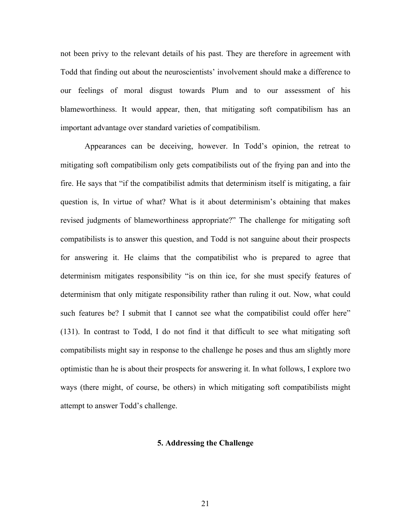not been privy to the relevant details of his past. They are therefore in agreement with Todd that finding out about the neuroscientists' involvement should make a difference to our feelings of moral disgust towards Plum and to our assessment of his blameworthiness. It would appear, then, that mitigating soft compatibilism has an important advantage over standard varieties of compatibilism.

Appearances can be deceiving, however. In Todd's opinion, the retreat to mitigating soft compatibilism only gets compatibilists out of the frying pan and into the fire. He says that "if the compatibilist admits that determinism itself is mitigating, a fair question is, In virtue of what? What is it about determinism's obtaining that makes revised judgments of blameworthiness appropriate?" The challenge for mitigating soft compatibilists is to answer this question, and Todd is not sanguine about their prospects for answering it. He claims that the compatibilist who is prepared to agree that determinism mitigates responsibility "is on thin ice, for she must specify features of determinism that only mitigate responsibility rather than ruling it out. Now, what could such features be? I submit that I cannot see what the compatibilist could offer here" (131). In contrast to Todd, I do not find it that difficult to see what mitigating soft compatibilists might say in response to the challenge he poses and thus am slightly more optimistic than he is about their prospects for answering it. In what follows, I explore two ways (there might, of course, be others) in which mitigating soft compatibilists might attempt to answer Todd's challenge.

## **5. Addressing the Challenge**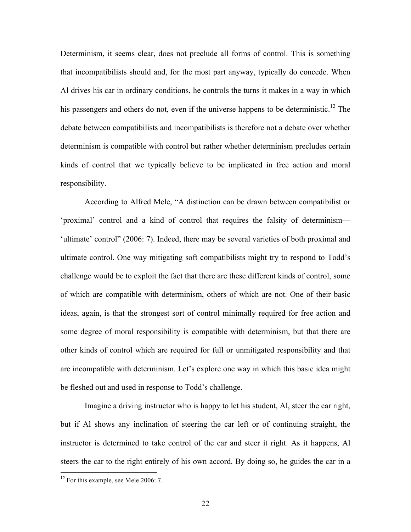Determinism, it seems clear, does not preclude all forms of control. This is something that incompatibilists should and, for the most part anyway, typically do concede. When Al drives his car in ordinary conditions, he controls the turns it makes in a way in which his passengers and others do not, even if the universe happens to be deterministic.<sup>12</sup> The debate between compatibilists and incompatibilists is therefore not a debate over whether determinism is compatible with control but rather whether determinism precludes certain kinds of control that we typically believe to be implicated in free action and moral responsibility.

According to Alfred Mele, "A distinction can be drawn between compatibilist or 'proximal' control and a kind of control that requires the falsity of determinism— 'ultimate' control" (2006: 7). Indeed, there may be several varieties of both proximal and ultimate control. One way mitigating soft compatibilists might try to respond to Todd's challenge would be to exploit the fact that there are these different kinds of control, some of which are compatible with determinism, others of which are not. One of their basic ideas, again, is that the strongest sort of control minimally required for free action and some degree of moral responsibility is compatible with determinism, but that there are other kinds of control which are required for full or unmitigated responsibility and that are incompatible with determinism. Let's explore one way in which this basic idea might be fleshed out and used in response to Todd's challenge.

Imagine a driving instructor who is happy to let his student, Al, steer the car right, but if Al shows any inclination of steering the car left or of continuing straight, the instructor is determined to take control of the car and steer it right. As it happens, Al steers the car to the right entirely of his own accord. By doing so, he guides the car in a

<sup>&</sup>lt;sup>12</sup> For this example, see Mele 2006: 7.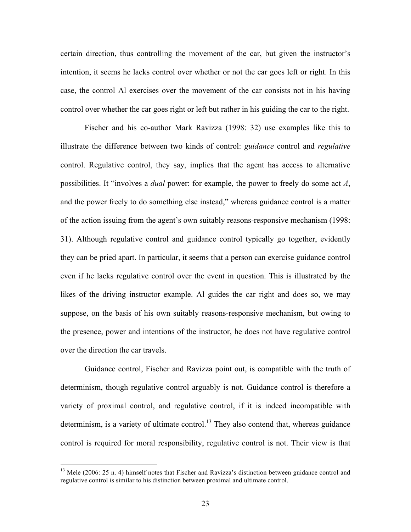certain direction, thus controlling the movement of the car, but given the instructor's intention, it seems he lacks control over whether or not the car goes left or right. In this case, the control Al exercises over the movement of the car consists not in his having control over whether the car goes right or left but rather in his guiding the car to the right.

Fischer and his co-author Mark Ravizza (1998: 32) use examples like this to illustrate the difference between two kinds of control: *guidance* control and *regulative* control. Regulative control, they say, implies that the agent has access to alternative possibilities. It "involves a *dual* power: for example, the power to freely do some act *A*, and the power freely to do something else instead," whereas guidance control is a matter of the action issuing from the agent's own suitably reasons-responsive mechanism (1998: 31). Although regulative control and guidance control typically go together, evidently they can be pried apart. In particular, it seems that a person can exercise guidance control even if he lacks regulative control over the event in question. This is illustrated by the likes of the driving instructor example. Al guides the car right and does so, we may suppose, on the basis of his own suitably reasons-responsive mechanism, but owing to the presence, power and intentions of the instructor, he does not have regulative control over the direction the car travels.

Guidance control, Fischer and Ravizza point out, is compatible with the truth of determinism, though regulative control arguably is not. Guidance control is therefore a variety of proximal control, and regulative control, if it is indeed incompatible with determinism, is a variety of ultimate control.<sup>13</sup> They also contend that, whereas guidance control is required for moral responsibility, regulative control is not. Their view is that

<sup>&</sup>lt;sup>13</sup> Mele (2006: 25 n. 4) himself notes that Fischer and Ravizza's distinction between guidance control and regulative control is similar to his distinction between proximal and ultimate control.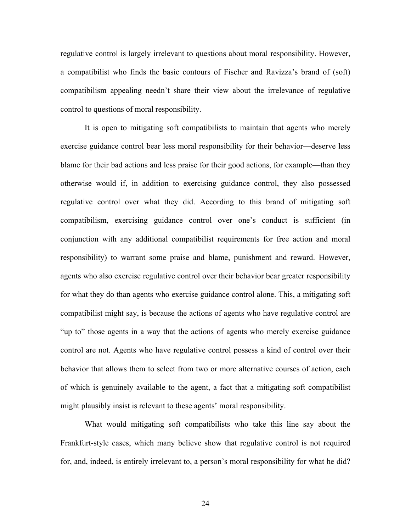regulative control is largely irrelevant to questions about moral responsibility. However, a compatibilist who finds the basic contours of Fischer and Ravizza's brand of (soft) compatibilism appealing needn't share their view about the irrelevance of regulative control to questions of moral responsibility.

It is open to mitigating soft compatibilists to maintain that agents who merely exercise guidance control bear less moral responsibility for their behavior—deserve less blame for their bad actions and less praise for their good actions, for example—than they otherwise would if, in addition to exercising guidance control, they also possessed regulative control over what they did. According to this brand of mitigating soft compatibilism, exercising guidance control over one's conduct is sufficient (in conjunction with any additional compatibilist requirements for free action and moral responsibility) to warrant some praise and blame, punishment and reward. However, agents who also exercise regulative control over their behavior bear greater responsibility for what they do than agents who exercise guidance control alone. This, a mitigating soft compatibilist might say, is because the actions of agents who have regulative control are "up to" those agents in a way that the actions of agents who merely exercise guidance control are not. Agents who have regulative control possess a kind of control over their behavior that allows them to select from two or more alternative courses of action, each of which is genuinely available to the agent, a fact that a mitigating soft compatibilist might plausibly insist is relevant to these agents' moral responsibility.

What would mitigating soft compatibilists who take this line say about the Frankfurt-style cases, which many believe show that regulative control is not required for, and, indeed, is entirely irrelevant to, a person's moral responsibility for what he did?

24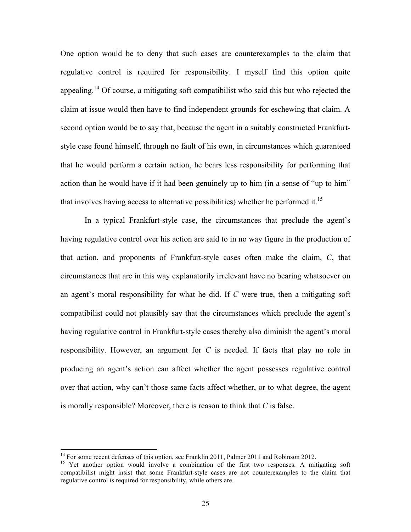One option would be to deny that such cases are counterexamples to the claim that regulative control is required for responsibility. I myself find this option quite appealing.<sup>14</sup> Of course, a mitigating soft compatibilist who said this but who rejected the claim at issue would then have to find independent grounds for eschewing that claim. A second option would be to say that, because the agent in a suitably constructed Frankfurtstyle case found himself, through no fault of his own, in circumstances which guaranteed that he would perform a certain action, he bears less responsibility for performing that action than he would have if it had been genuinely up to him (in a sense of "up to him" that involves having access to alternative possibilities) whether he performed it.<sup>15</sup>

In a typical Frankfurt-style case, the circumstances that preclude the agent's having regulative control over his action are said to in no way figure in the production of that action, and proponents of Frankfurt-style cases often make the claim, *C*, that circumstances that are in this way explanatorily irrelevant have no bearing whatsoever on an agent's moral responsibility for what he did. If *C* were true, then a mitigating soft compatibilist could not plausibly say that the circumstances which preclude the agent's having regulative control in Frankfurt-style cases thereby also diminish the agent's moral responsibility. However, an argument for *C* is needed. If facts that play no role in producing an agent's action can affect whether the agent possesses regulative control over that action, why can't those same facts affect whether, or to what degree, the agent is morally responsible? Moreover, there is reason to think that *C* is false.

<sup>&</sup>lt;sup>14</sup> For some recent defenses of this option, see Franklin 2011, Palmer 2011 and Robinson 2012.<br><sup>15</sup> Yet another option would involve a combination of the first two responses. A mitigating soft

compatibilist might insist that some Frankfurt-style cases are not counterexamples to the claim that regulative control is required for responsibility, while others are.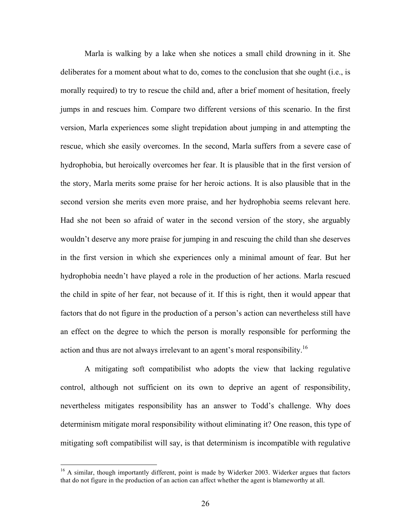Marla is walking by a lake when she notices a small child drowning in it. She deliberates for a moment about what to do, comes to the conclusion that she ought (i.e., is morally required) to try to rescue the child and, after a brief moment of hesitation, freely jumps in and rescues him. Compare two different versions of this scenario. In the first version, Marla experiences some slight trepidation about jumping in and attempting the rescue, which she easily overcomes. In the second, Marla suffers from a severe case of hydrophobia, but heroically overcomes her fear. It is plausible that in the first version of the story, Marla merits some praise for her heroic actions. It is also plausible that in the second version she merits even more praise, and her hydrophobia seems relevant here. Had she not been so afraid of water in the second version of the story, she arguably wouldn't deserve any more praise for jumping in and rescuing the child than she deserves in the first version in which she experiences only a minimal amount of fear. But her hydrophobia needn't have played a role in the production of her actions. Marla rescued the child in spite of her fear, not because of it. If this is right, then it would appear that factors that do not figure in the production of a person's action can nevertheless still have an effect on the degree to which the person is morally responsible for performing the action and thus are not always irrelevant to an agent's moral responsibility.<sup>16</sup>

A mitigating soft compatibilist who adopts the view that lacking regulative control, although not sufficient on its own to deprive an agent of responsibility, nevertheless mitigates responsibility has an answer to Todd's challenge. Why does determinism mitigate moral responsibility without eliminating it? One reason, this type of mitigating soft compatibilist will say, is that determinism is incompatible with regulative

<sup>&</sup>lt;sup>16</sup> A similar, though importantly different, point is made by Widerker 2003. Widerker argues that factors that do not figure in the production of an action can affect whether the agent is blameworthy at all.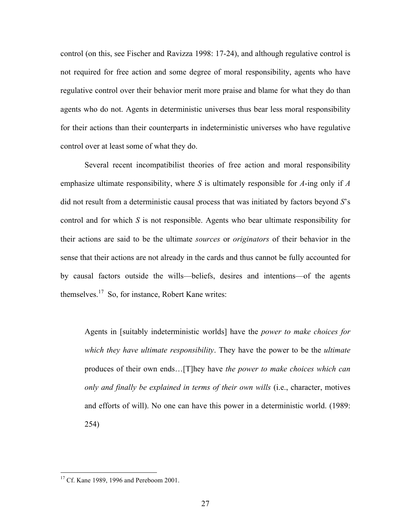control (on this, see Fischer and Ravizza 1998: 17-24), and although regulative control is not required for free action and some degree of moral responsibility, agents who have regulative control over their behavior merit more praise and blame for what they do than agents who do not. Agents in deterministic universes thus bear less moral responsibility for their actions than their counterparts in indeterministic universes who have regulative control over at least some of what they do.

Several recent incompatibilist theories of free action and moral responsibility emphasize ultimate responsibility, where *S* is ultimately responsible for *A*-ing only if *A*  did not result from a deterministic causal process that was initiated by factors beyond *S*'s control and for which *S* is not responsible. Agents who bear ultimate responsibility for their actions are said to be the ultimate *sources* or *originators* of their behavior in the sense that their actions are not already in the cards and thus cannot be fully accounted for by causal factors outside the wills—beliefs, desires and intentions—of the agents themselves.<sup>17</sup> So, for instance, Robert Kane writes:

Agents in [suitably indeterministic worlds] have the *power to make choices for which they have ultimate responsibility*. They have the power to be the *ultimate* produces of their own ends…[T]hey have *the power to make choices which can only and finally be explained in terms of their own wills* (i.e., character, motives and efforts of will). No one can have this power in a deterministic world. (1989: 254)

<sup>&</sup>lt;sup>17</sup> Cf. Kane 1989, 1996 and Pereboom 2001.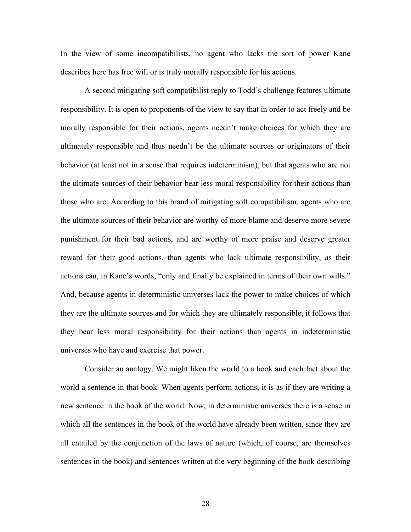In the view of some incompatibilists, no agent who lacks the sort of power Kane describes here has free will or is truly morally responsible for his actions.

A second mitigating soft compatibilist reply to Todd's challenge features ultimate responsibility. It is open to proponents of the view to say that in order to act freely and be morally responsible for their actions, agents needn't make choices for which they are ultimately responsible and thus needn't be the ultimate sources or originators of their behavior (at least not in a sense that requires indeterminism), but that agents who are not the ultimate sources of their behavior bear less moral responsibility for their actions than those who are. According to this brand of mitigating soft compatibilism, agents who are the ultimate sources of their behavior are worthy of more blame and deserve more severe punishment for their bad actions, and are worthy of more praise and deserve greater reward for their good actions, than agents who lack ultimate responsibility, as their actions can, in Kane's words, "only and finally be explained in terms of their own wills." And, because agents in deterministic universes lack the power to make choices of which they are the ultimate sources and for which they are ultimately responsible, it follows that they bear less moral responsibility for their actions than agents in indeterministic universes who have and exercise that power.

Consider an analogy. We might liken the world to a book and each fact about the world a sentence in that book. When agents perform actions, it is as if they are writing a new sentence in the book of the world. Now, in deterministic universes there is a sense in which all the sentences in the book of the world have already been written, since they are all entailed by the conjunction of the laws of nature (which, of course, are themselves sentences in the book) and sentences written at the very beginning of the book describing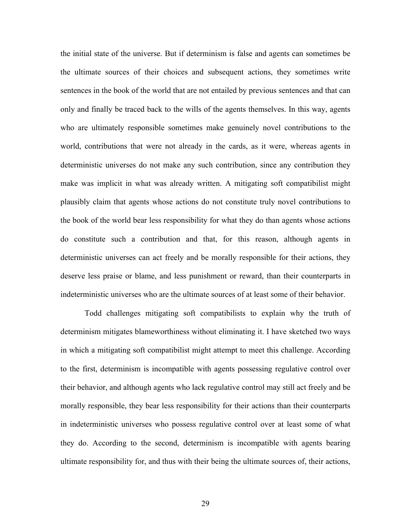the initial state of the universe. But if determinism is false and agents can sometimes be the ultimate sources of their choices and subsequent actions, they sometimes write sentences in the book of the world that are not entailed by previous sentences and that can only and finally be traced back to the wills of the agents themselves. In this way, agents who are ultimately responsible sometimes make genuinely novel contributions to the world, contributions that were not already in the cards, as it were, whereas agents in deterministic universes do not make any such contribution, since any contribution they make was implicit in what was already written. A mitigating soft compatibilist might plausibly claim that agents whose actions do not constitute truly novel contributions to the book of the world bear less responsibility for what they do than agents whose actions do constitute such a contribution and that, for this reason, although agents in deterministic universes can act freely and be morally responsible for their actions, they deserve less praise or blame, and less punishment or reward, than their counterparts in indeterministic universes who are the ultimate sources of at least some of their behavior.

Todd challenges mitigating soft compatibilists to explain why the truth of determinism mitigates blameworthiness without eliminating it. I have sketched two ways in which a mitigating soft compatibilist might attempt to meet this challenge. According to the first, determinism is incompatible with agents possessing regulative control over their behavior, and although agents who lack regulative control may still act freely and be morally responsible, they bear less responsibility for their actions than their counterparts in indeterministic universes who possess regulative control over at least some of what they do. According to the second, determinism is incompatible with agents bearing ultimate responsibility for, and thus with their being the ultimate sources of, their actions,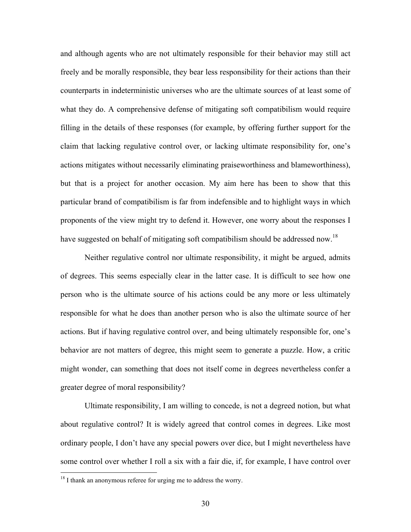and although agents who are not ultimately responsible for their behavior may still act freely and be morally responsible, they bear less responsibility for their actions than their counterparts in indeterministic universes who are the ultimate sources of at least some of what they do. A comprehensive defense of mitigating soft compatibilism would require filling in the details of these responses (for example, by offering further support for the claim that lacking regulative control over, or lacking ultimate responsibility for, one's actions mitigates without necessarily eliminating praiseworthiness and blameworthiness), but that is a project for another occasion. My aim here has been to show that this particular brand of compatibilism is far from indefensible and to highlight ways in which proponents of the view might try to defend it. However, one worry about the responses I have suggested on behalf of mitigating soft compatibilism should be addressed now.<sup>18</sup>

Neither regulative control nor ultimate responsibility, it might be argued, admits of degrees. This seems especially clear in the latter case. It is difficult to see how one person who is the ultimate source of his actions could be any more or less ultimately responsible for what he does than another person who is also the ultimate source of her actions. But if having regulative control over, and being ultimately responsible for, one's behavior are not matters of degree, this might seem to generate a puzzle. How, a critic might wonder, can something that does not itself come in degrees nevertheless confer a greater degree of moral responsibility?

Ultimate responsibility, I am willing to concede, is not a degreed notion, but what about regulative control? It is widely agreed that control comes in degrees. Like most ordinary people, I don't have any special powers over dice, but I might nevertheless have some control over whether I roll a six with a fair die, if, for example, I have control over

<sup>&</sup>lt;sup>18</sup> I thank an anonymous referee for urging me to address the worry.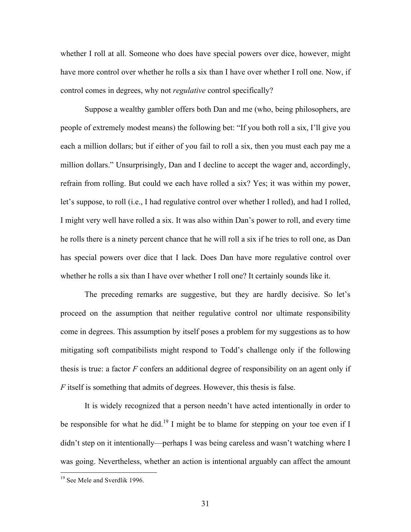whether I roll at all. Someone who does have special powers over dice, however, might have more control over whether he rolls a six than I have over whether I roll one. Now, if control comes in degrees, why not *regulative* control specifically?

Suppose a wealthy gambler offers both Dan and me (who, being philosophers, are people of extremely modest means) the following bet: "If you both roll a six, I'll give you each a million dollars; but if either of you fail to roll a six, then you must each pay me a million dollars." Unsurprisingly, Dan and I decline to accept the wager and, accordingly, refrain from rolling. But could we each have rolled a six? Yes; it was within my power, let's suppose, to roll (i.e., I had regulative control over whether I rolled), and had I rolled, I might very well have rolled a six. It was also within Dan's power to roll, and every time he rolls there is a ninety percent chance that he will roll a six if he tries to roll one, as Dan has special powers over dice that I lack. Does Dan have more regulative control over whether he rolls a six than I have over whether I roll one? It certainly sounds like it.

The preceding remarks are suggestive, but they are hardly decisive. So let's proceed on the assumption that neither regulative control nor ultimate responsibility come in degrees. This assumption by itself poses a problem for my suggestions as to how mitigating soft compatibilists might respond to Todd's challenge only if the following thesis is true: a factor *F* confers an additional degree of responsibility on an agent only if *F* itself is something that admits of degrees. However, this thesis is false.

It is widely recognized that a person needn't have acted intentionally in order to be responsible for what he did.<sup>19</sup> I might be to blame for stepping on your toe even if I didn't step on it intentionally—perhaps I was being careless and wasn't watching where I was going. Nevertheless, whether an action is intentional arguably can affect the amount

<sup>&</sup>lt;sup>19</sup> See Mele and Sverdlik 1996.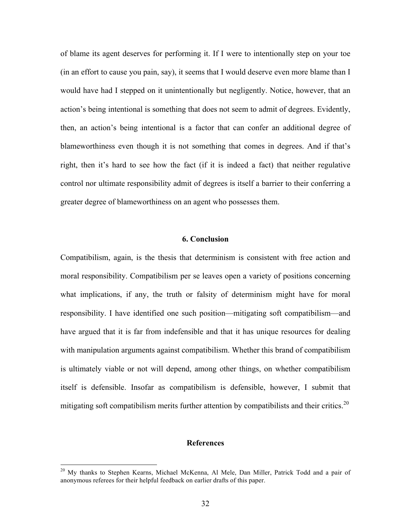of blame its agent deserves for performing it. If I were to intentionally step on your toe (in an effort to cause you pain, say), it seems that I would deserve even more blame than I would have had I stepped on it unintentionally but negligently. Notice, however, that an action's being intentional is something that does not seem to admit of degrees. Evidently, then, an action's being intentional is a factor that can confer an additional degree of blameworthiness even though it is not something that comes in degrees. And if that's right, then it's hard to see how the fact (if it is indeed a fact) that neither regulative control nor ultimate responsibility admit of degrees is itself a barrier to their conferring a greater degree of blameworthiness on an agent who possesses them.

## **6. Conclusion**

Compatibilism, again, is the thesis that determinism is consistent with free action and moral responsibility. Compatibilism per se leaves open a variety of positions concerning what implications, if any, the truth or falsity of determinism might have for moral responsibility. I have identified one such position—mitigating soft compatibilism—and have argued that it is far from indefensible and that it has unique resources for dealing with manipulation arguments against compatibilism. Whether this brand of compatibilism is ultimately viable or not will depend, among other things, on whether compatibilism itself is defensible. Insofar as compatibilism is defensible, however, I submit that mitigating soft compatibilism merits further attention by compatibilists and their critics.<sup>20</sup>

## **References**

<sup>&</sup>lt;sup>20</sup> My thanks to Stephen Kearns, Michael McKenna, Al Mele, Dan Miller, Patrick Todd and a pair of anonymous referees for their helpful feedback on earlier drafts of this paper.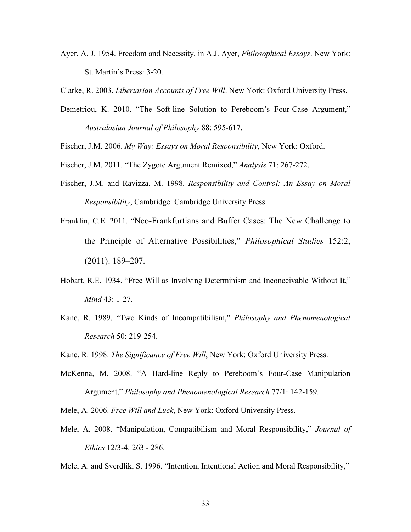Ayer, A. J. 1954. Freedom and Necessity, in A.J. Ayer, *Philosophical Essays*. New York: St. Martin's Press: 3-20.

Clarke, R. 2003. *Libertarian Accounts of Free Will*. New York: Oxford University Press.

Demetriou, K. 2010. "The Soft-line Solution to Pereboom's Four-Case Argument," *Australasian Journal of Philosophy* 88: 595-617.

Fischer, J.M. 2006. *My Way: Essays on Moral Responsibility*, New York: Oxford.

- Fischer, J.M. 2011. "The Zygote Argument Remixed," *Analysis* 71: 267-272.
- Fischer, J.M. and Ravizza, M. 1998. *Responsibility and Control: An Essay on Moral Responsibility*, Cambridge: Cambridge University Press.
- Franklin, C.E. 2011. "Neo-Frankfurtians and Buffer Cases: The New Challenge to the Principle of Alternative Possibilities," *Philosophical Studies* 152:2, (2011): 189–207.
- Hobart, R.E. 1934. "Free Will as Involving Determinism and Inconceivable Without It," *Mind* 43: 1-27.
- Kane, R. 1989. "Two Kinds of Incompatibilism," *Philosophy and Phenomenological Research* 50: 219-254.

Kane, R. 1998. *The Significance of Free Will*, New York: Oxford University Press.

McKenna, M. 2008. "A Hard-line Reply to Pereboom's Four-Case Manipulation Argument," *Philosophy and Phenomenological Research* 77/1: 142-159.

Mele, A. 2006. *Free Will and Luck*, New York: Oxford University Press.

Mele, A. 2008. "Manipulation, Compatibilism and Moral Responsibility," *Journal of Ethics* 12/3-4: 263 - 286.

Mele, A. and Sverdlik, S. 1996. "Intention, Intentional Action and Moral Responsibility,"